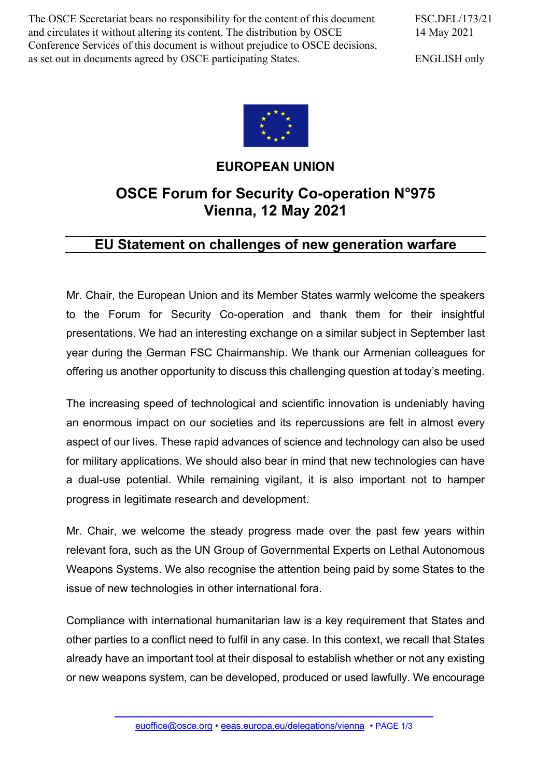The OSCE Secretariat bears no responsibility for the content of this document and circulates it without altering its content. The distribution by OSCE Conference Services of this document is without prejudice to OSCE decisions, as set out in documents agreed by OSCE participating States.

FSC.DEL/173/21 14 May 2021

ENGLISH only



## **EUROPEAN UNION**

## **OSCE Forum for Security Co-operation N°975 Vienna, 12 May 2021**

## **EU Statement on challenges of new generation warfare**

Mr. Chair, the European Union and its Member States warmly welcome the speakers to the Forum for Security Co-operation and thank them for their insightful presentations. We had an interesting exchange on a similar subject in September last year during the German FSC Chairmanship. We thank our Armenian colleagues for offering us another opportunity to discuss this challenging question at today's meeting.

The increasing speed of technological and scientific innovation is undeniably having an enormous impact on our societies and its repercussions are felt in almost every aspect of our lives. These rapid advances of science and technology can also be used for military applications. We should also bear in mind that new technologies can have a dual-use potential. While remaining vigilant, it is also important not to hamper progress in legitimate research and development.

Mr. Chair, we welcome the steady progress made over the past few years within relevant fora, such as the UN Group of Governmental Experts on Lethal Autonomous Weapons Systems. We also recognise the attention being paid by some States to the issue of new technologies in other international fora.

Compliance with international humanitarian law is a key requirement that States and other parties to a conflict need to fulfil in any case. In this context, we recall that States already have an important tool at their disposal to establish whether or not any existing or new weapons system, can be developed, produced or used lawfully. We encourage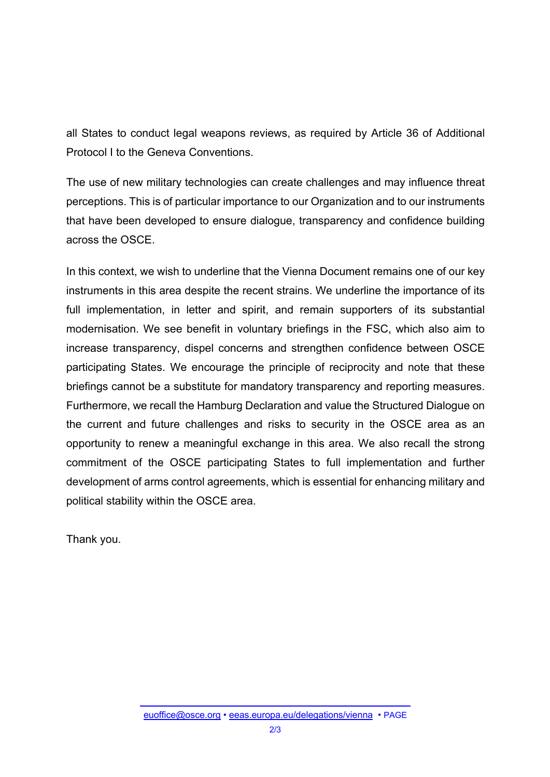all States to conduct legal weapons reviews, as required by Article 36 of Additional Protocol I to the Geneva Conventions.

The use of new military technologies can create challenges and may influence threat perceptions. This is of particular importance to our Organization and to our instruments that have been developed to ensure dialogue, transparency and confidence building across the OSCE.

In this context, we wish to underline that the Vienna Document remains one of our key instruments in this area despite the recent strains. We underline the importance of its full implementation, in letter and spirit, and remain supporters of its substantial modernisation. We see benefit in voluntary briefings in the FSC, which also aim to increase transparency, dispel concerns and strengthen confidence between OSCE participating States. We encourage the principle of reciprocity and note that these briefings cannot be a substitute for mandatory transparency and reporting measures. Furthermore, we recall the Hamburg Declaration and value the Structured Dialogue on the current and future challenges and risks to security in the OSCE area as an opportunity to renew a meaningful exchange in this area. We also recall the strong commitment of the OSCE participating States to full implementation and further development of arms control agreements, which is essential for enhancing military and political stability within the OSCE area.

Thank you.